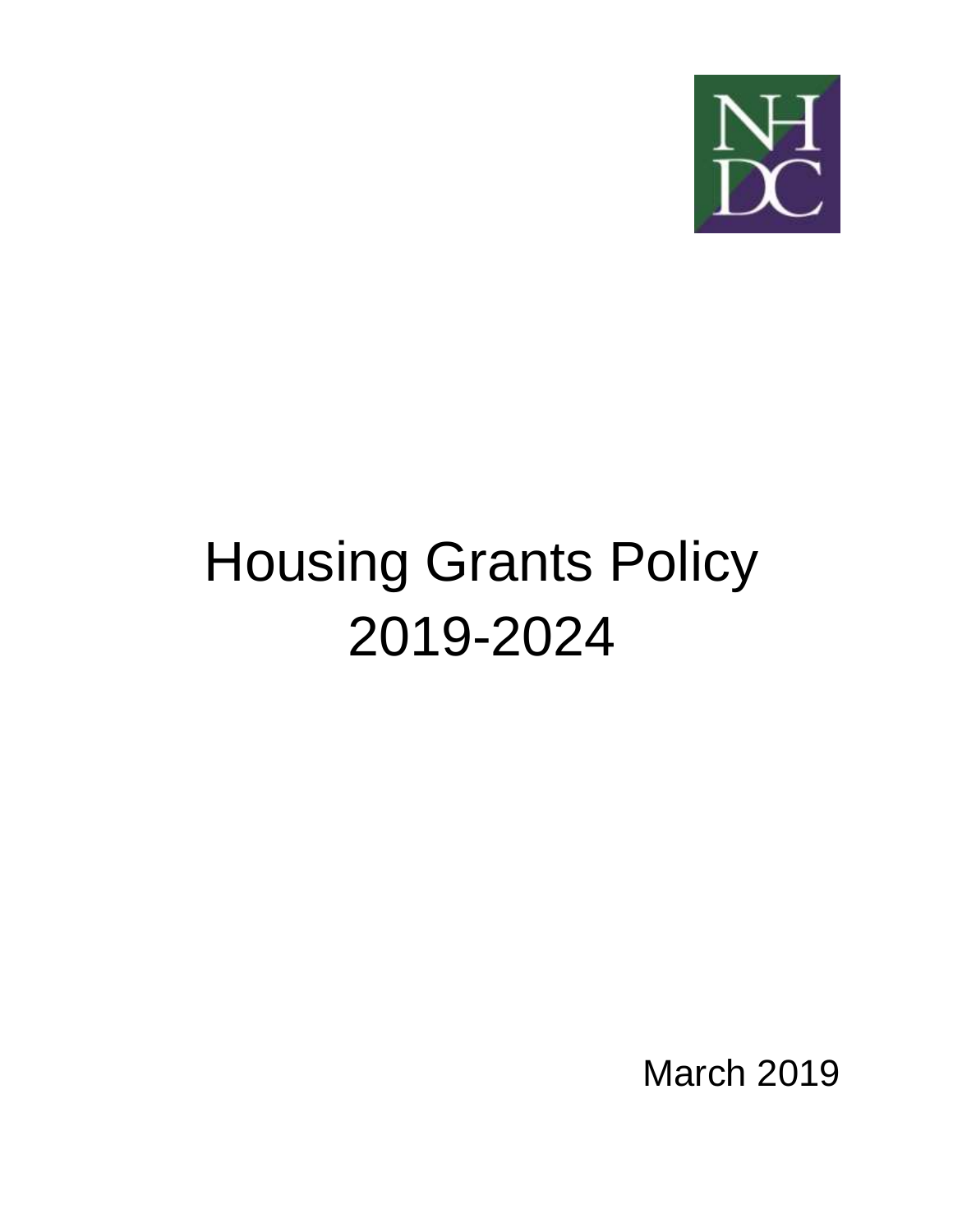

# Housing Grants Policy 2019-2024

March 2019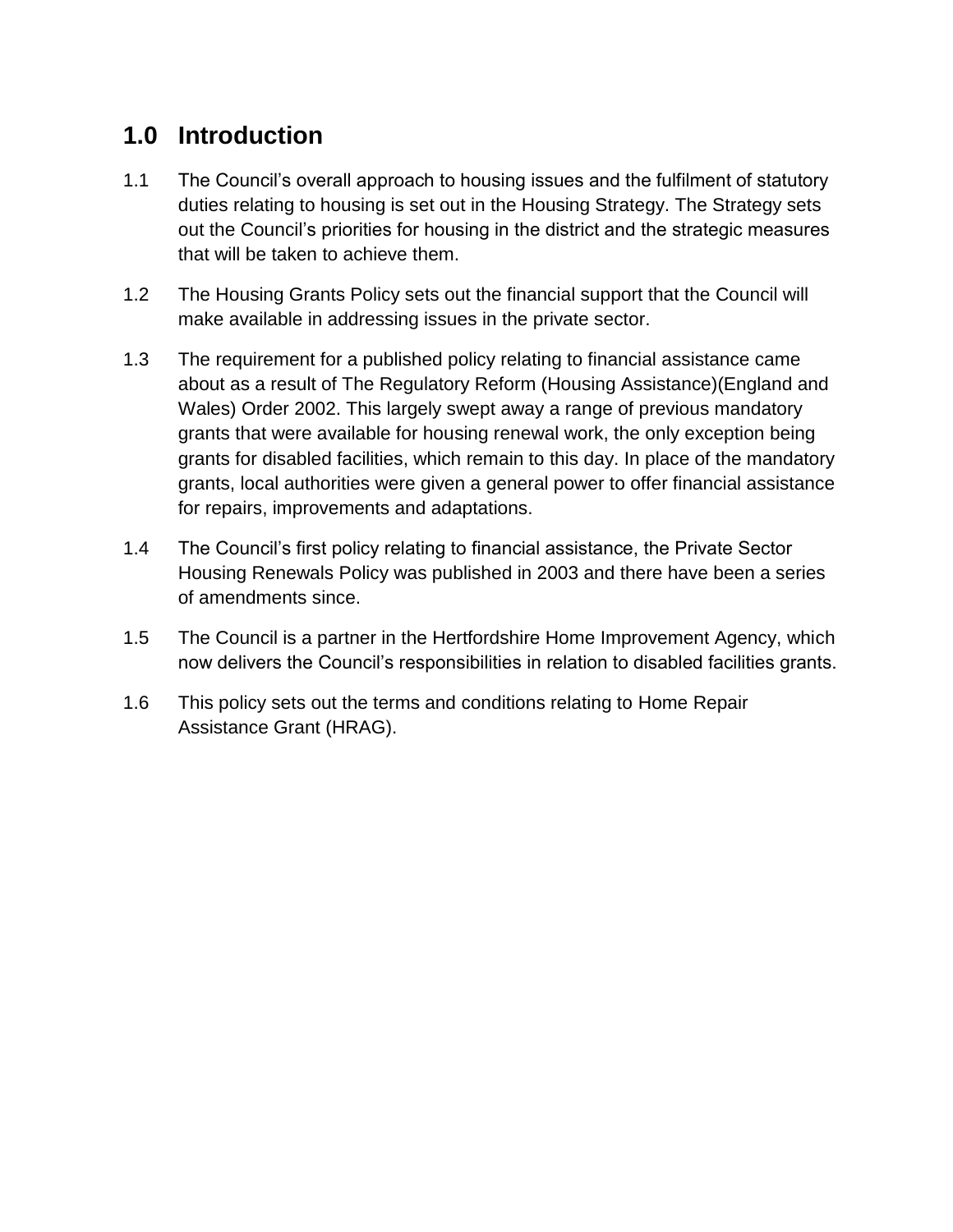### **1.0 Introduction**

- 1.1 The Council's overall approach to housing issues and the fulfilment of statutory duties relating to housing is set out in the Housing Strategy. The Strategy sets out the Council's priorities for housing in the district and the strategic measures that will be taken to achieve them.
- 1.2 The Housing Grants Policy sets out the financial support that the Council will make available in addressing issues in the private sector.
- 1.3 The requirement for a published policy relating to financial assistance came about as a result of The Regulatory Reform (Housing Assistance)(England and Wales) Order 2002. This largely swept away a range of previous mandatory grants that were available for housing renewal work, the only exception being grants for disabled facilities, which remain to this day. In place of the mandatory grants, local authorities were given a general power to offer financial assistance for repairs, improvements and adaptations.
- 1.4 The Council's first policy relating to financial assistance, the Private Sector Housing Renewals Policy was published in 2003 and there have been a series of amendments since.
- 1.5 The Council is a partner in the Hertfordshire Home Improvement Agency, which now delivers the Council's responsibilities in relation to disabled facilities grants.
- 1.6 This policy sets out the terms and conditions relating to Home Repair Assistance Grant (HRAG).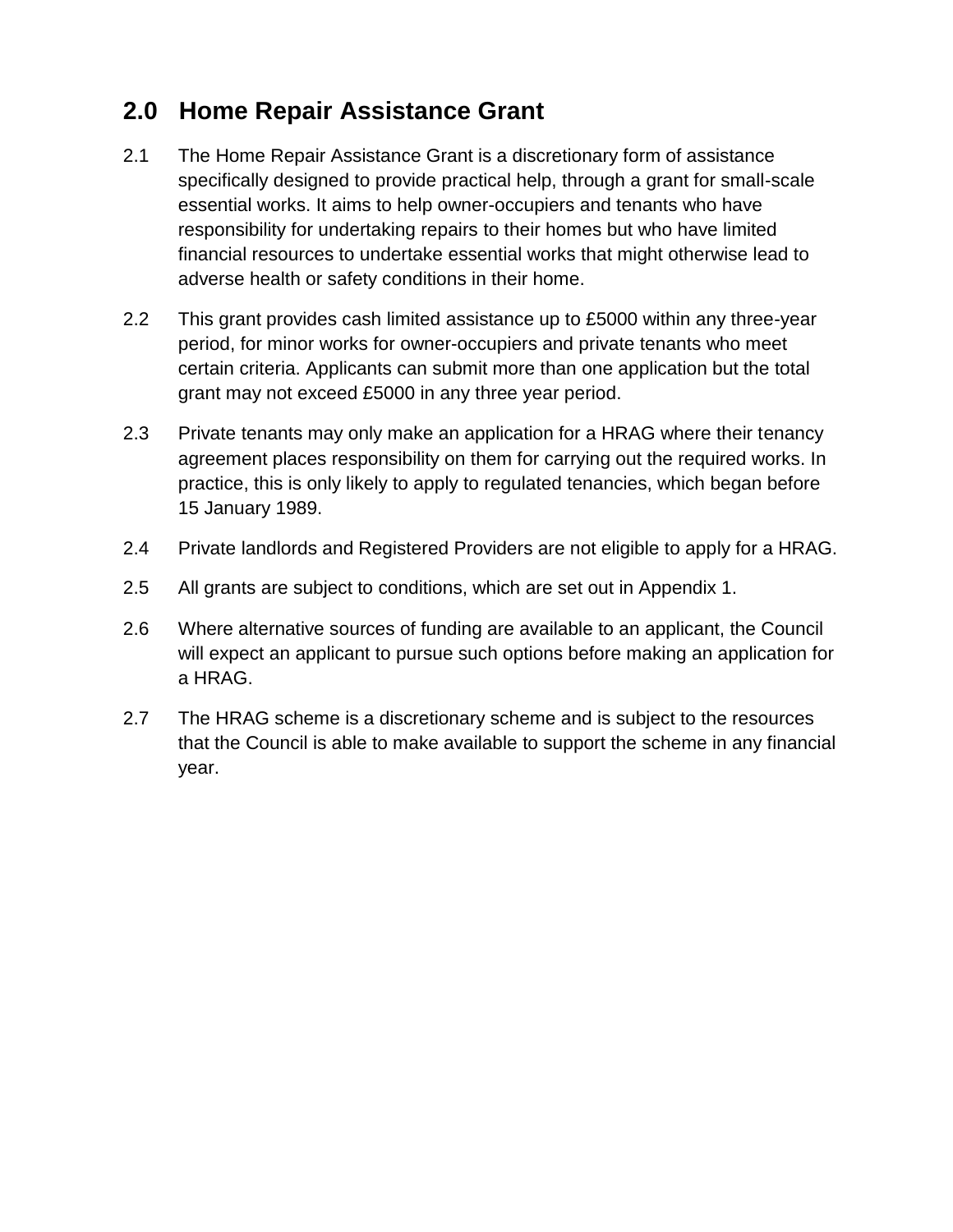### **2.0 Home Repair Assistance Grant**

- 2.1 The Home Repair Assistance Grant is a discretionary form of assistance specifically designed to provide practical help, through a grant for small-scale essential works. It aims to help owner-occupiers and tenants who have responsibility for undertaking repairs to their homes but who have limited financial resources to undertake essential works that might otherwise lead to adverse health or safety conditions in their home.
- 2.2 This grant provides cash limited assistance up to £5000 within any three-year period, for minor works for owner-occupiers and private tenants who meet certain criteria. Applicants can submit more than one application but the total grant may not exceed £5000 in any three year period.
- 2.3 Private tenants may only make an application for a HRAG where their tenancy agreement places responsibility on them for carrying out the required works. In practice, this is only likely to apply to regulated tenancies, which began before 15 January 1989.
- 2.4 Private landlords and Registered Providers are not eligible to apply for a HRAG.
- 2.5 All grants are subject to conditions, which are set out in Appendix 1.
- 2.6 Where alternative sources of funding are available to an applicant, the Council will expect an applicant to pursue such options before making an application for a HRAG.
- 2.7 The HRAG scheme is a discretionary scheme and is subject to the resources that the Council is able to make available to support the scheme in any financial year.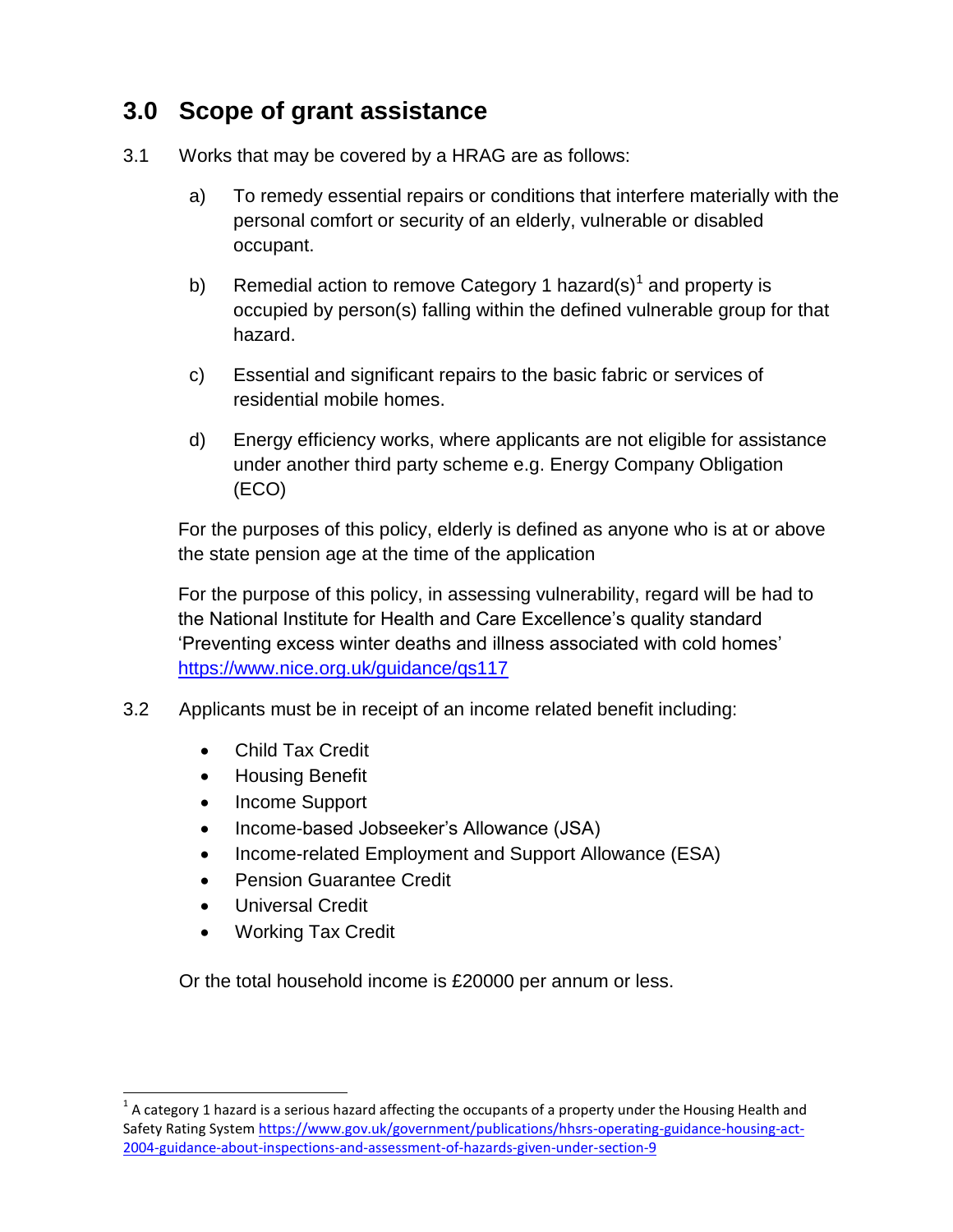### **3.0 Scope of grant assistance**

- 3.1 Works that may be covered by a HRAG are as follows:
	- a) To remedy essential repairs or conditions that interfere materially with the personal comfort or security of an elderly, vulnerable or disabled occupant.
	- b) Remedial action to remove Category 1 hazard(s)<sup>1</sup> and property is occupied by person(s) falling within the defined vulnerable group for that hazard.
	- c) Essential and significant repairs to the basic fabric or services of residential mobile homes.
	- d) Energy efficiency works, where applicants are not eligible for assistance under another third party scheme e.g. Energy Company Obligation (ECO)

For the purposes of this policy, elderly is defined as anyone who is at or above the state pension age at the time of the application

For the purpose of this policy, in assessing vulnerability, regard will be had to the National Institute for Health and Care Excellence's quality standard 'Preventing excess winter deaths and illness associated with cold homes' <https://www.nice.org.uk/guidance/qs117>

- 3.2 Applicants must be in receipt of an income related benefit including:
	- Child Tax Credit
	- **•** Housing Benefit
	- Income Support
	- Income-based Jobseeker's Allowance (JSA)
	- Income-related Employment and Support Allowance (ESA)
	- Pension Guarantee Credit
	- Universal Credit

 $\overline{a}$ 

• Working Tax Credit

Or the total household income is £20000 per annum or less.

 $^1$  A category 1 hazard is a serious hazard affecting the occupants of a property under the Housing Health and Safety Rating System [https://www.gov.uk/government/publications/hhsrs-operating-guidance-housing-act-](https://www.gov.uk/government/publications/hhsrs-operating-guidance-housing-act-2004-guidance-about-inspections-and-assessment-of-hazards-given-under-section-9)[2004-guidance-about-inspections-and-assessment-of-hazards-given-under-section-9](https://www.gov.uk/government/publications/hhsrs-operating-guidance-housing-act-2004-guidance-about-inspections-and-assessment-of-hazards-given-under-section-9)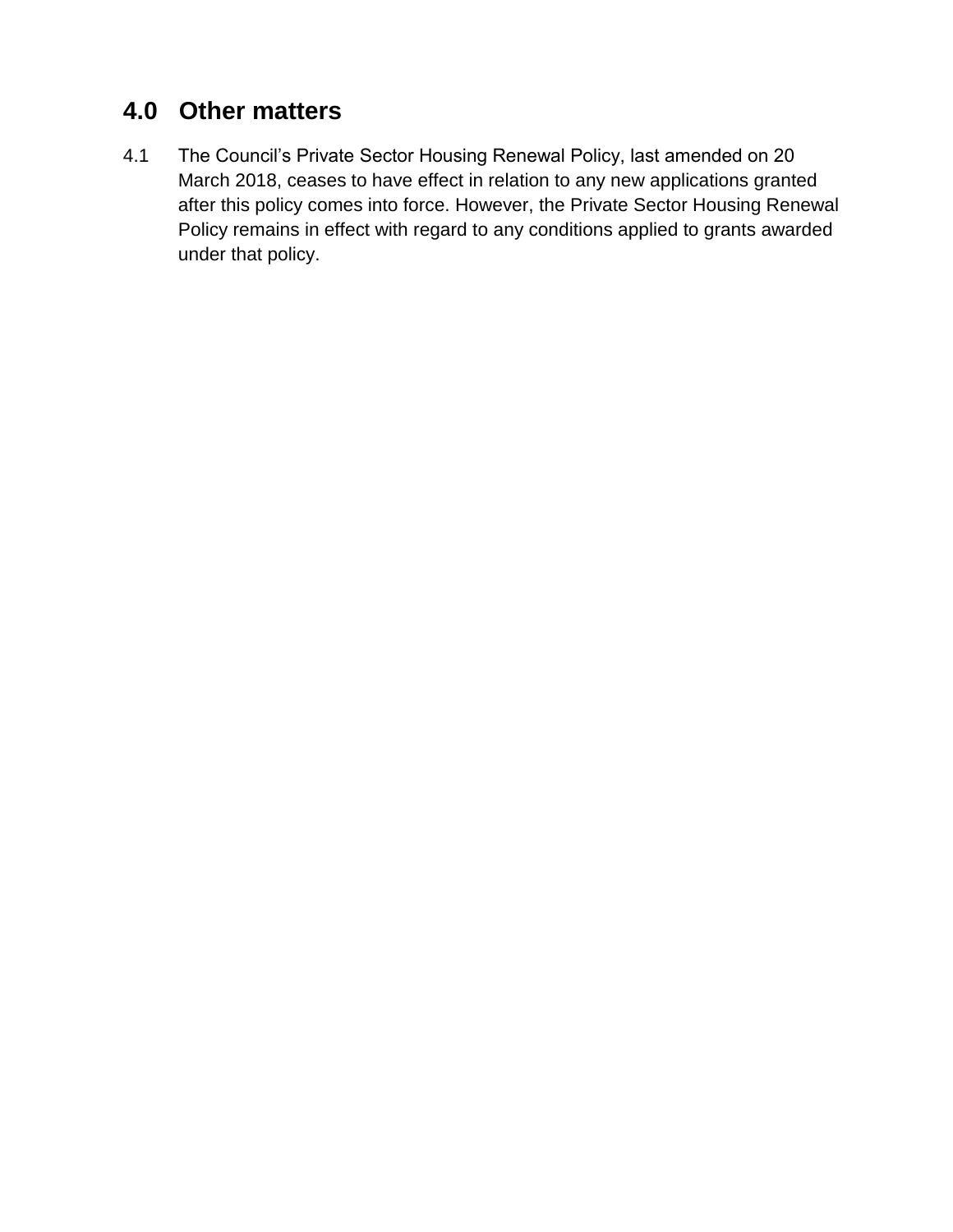## **4.0 Other matters**

4.1 The Council's Private Sector Housing Renewal Policy, last amended on 20 March 2018, ceases to have effect in relation to any new applications granted after this policy comes into force. However, the Private Sector Housing Renewal Policy remains in effect with regard to any conditions applied to grants awarded under that policy.